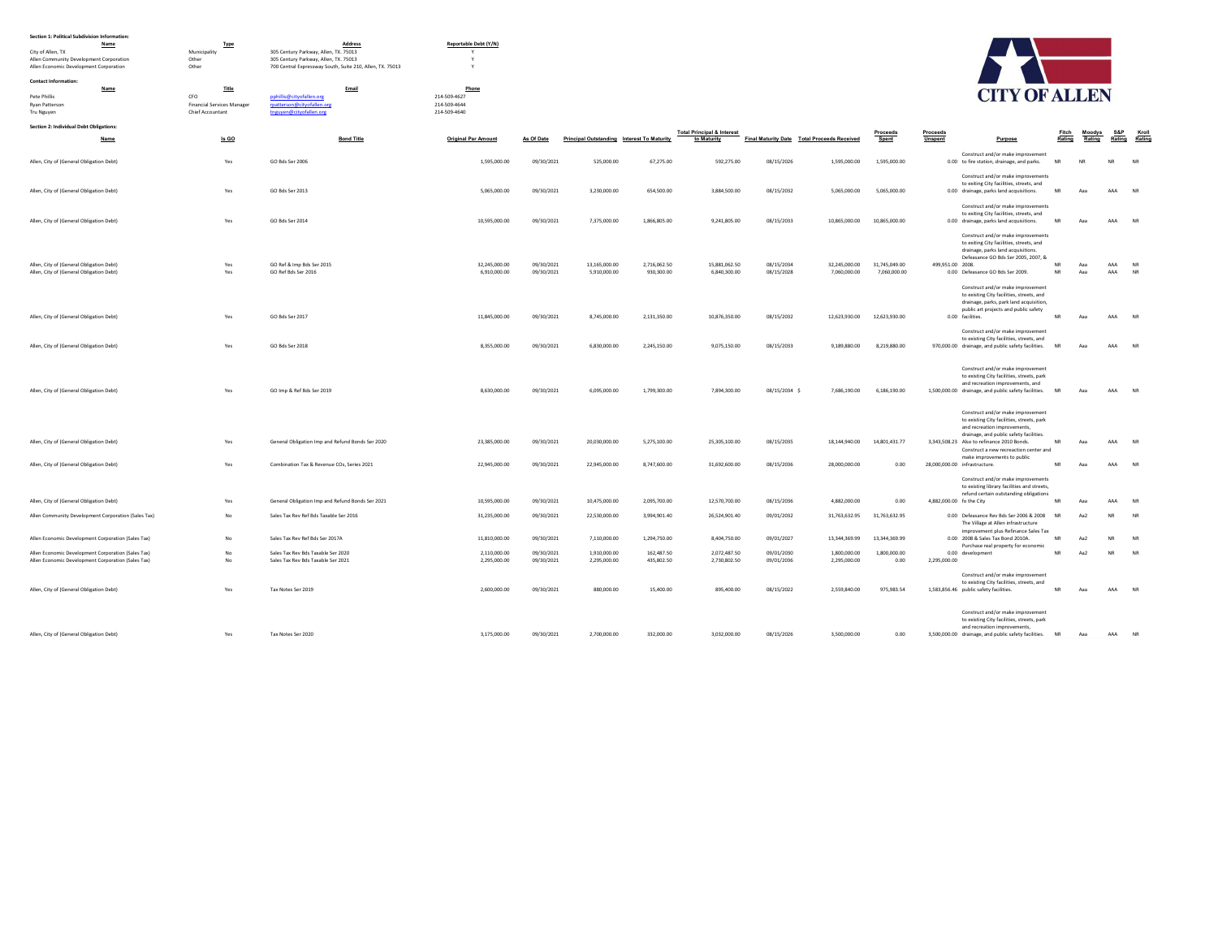| Section 1: Political Subdivision Information: |  |
|-----------------------------------------------|--|

| Section 1: Political Subdivision Information:                |                            |                                                                                |                            |            |                                            |              |                                       |               |                                             |               |                                                                                          |           |                  |           |           |
|--------------------------------------------------------------|----------------------------|--------------------------------------------------------------------------------|----------------------------|------------|--------------------------------------------|--------------|---------------------------------------|---------------|---------------------------------------------|---------------|------------------------------------------------------------------------------------------|-----------|------------------|-----------|-----------|
| Name                                                         | Type                       | Address                                                                        | Reportable Debt (Y/N)      |            |                                            |              |                                       |               |                                             |               |                                                                                          |           |                  |           |           |
| City of Allen, TX<br>Allen Community Development Corporation | Municipality<br>Other      | 305 Century Parkway, Allen, TX. 75013<br>305 Century Parkway, Allen, TX. 75013 | Y                          |            |                                            |              |                                       |               |                                             |               |                                                                                          |           |                  |           |           |
| Allen Economic Development Corporation                       | Other                      | 700 Central Expressway South, Suite 210, Allen, TX. 75013                      |                            |            |                                            |              |                                       |               |                                             |               |                                                                                          |           |                  |           |           |
|                                                              |                            |                                                                                |                            |            |                                            |              |                                       |               |                                             |               |                                                                                          |           |                  |           |           |
| <b>Contact Information:</b><br>Name                          | Title                      | Email                                                                          | Phone                      |            |                                            |              |                                       |               |                                             |               |                                                                                          |           |                  |           |           |
| Pete Phillis                                                 | CFO                        | pphillis@cityofallen.org                                                       | 214-509-4627               |            |                                            |              |                                       |               |                                             |               | <b>CITY OF ALLEN</b>                                                                     |           |                  |           |           |
| Ryan Patterson                                               | Financial Services Manager | rpatterson@cityofallen.org                                                     | 214-509-4644               |            |                                            |              |                                       |               |                                             |               |                                                                                          |           |                  |           |           |
| Tru Nguyen                                                   | Chief Accountant           | tnguyen@cityofallen.org                                                        | 214-509-4640               |            |                                            |              |                                       |               |                                             |               |                                                                                          |           |                  |           |           |
| Section 2: Individual Debt Obligations:                      |                            |                                                                                |                            |            |                                            |              |                                       |               |                                             |               |                                                                                          |           |                  |           |           |
|                                                              |                            |                                                                                |                            |            |                                            |              | <b>Total Principal &amp; Interest</b> |               |                                             | Proceeds      | Proceeds                                                                                 |           | Fitch Moodys S&P | Rating    | Kroll     |
| Name                                                         | Is GO                      | <b>Bond Title</b>                                                              | <b>Original Par Amount</b> | As Of Date | Principal Outstanding Interest To Maturity |              | to Maturity                           |               | Final Maturity Date Total Proceeds Received | Spent         | Unspent<br>Purpose                                                                       | Rating    | Rating           |           | Ratino    |
| Allen, City of (General Obligation Debt)                     | Yes                        | GO Bds Ser 2006                                                                | 1.595.000.00               | 09/30/2021 | 525.000.00                                 | 67,275.00    | 592 275.00                            | 08/15/2026    | 1,595,000.00                                | 1.595.000.00  | Construct and/or make improvement<br>0.00 to fire station, drainage, and parks.          | <b>NR</b> | NR               | <b>NR</b> | <b>NR</b> |
|                                                              |                            |                                                                                |                            |            |                                            |              |                                       |               |                                             |               | Construct and/or make improvements                                                       |           |                  |           |           |
|                                                              |                            |                                                                                |                            |            |                                            |              |                                       |               |                                             |               | to exiting City facilities, streets, and                                                 |           |                  |           |           |
| Allen, City of (General Obligation Debt)                     | Yes                        | GO Bds Ser 2013                                                                | 5,065,000.00               | 09/30/2021 | 3,230,000.00                               | 654,500.00   | 3,884,500.00                          | 08/15/2032    | 5,065,000.00                                | 5,065,000.00  | 0.00 drainage, parks land acquisitions.                                                  | NR        | Aaa              | AAA       | <b>NR</b> |
|                                                              |                            |                                                                                |                            |            |                                            |              |                                       |               |                                             |               | Construct and/or make improvements                                                       |           |                  |           |           |
|                                                              |                            |                                                                                |                            |            |                                            |              |                                       |               |                                             |               | to exiting City facilities, streets, and                                                 |           | Aaa              | AAA NR    |           |
| Allen, City of (General Obligation Debt)                     | Yes                        | GO Bds Ser 2014                                                                | 10,595,000.00              | 09/30/2021 | 7,375,000.00                               | 1,866,805.00 | 9,241,805.00                          | 08/15/2033    | 10,865,000.00                               | 10,865,000.00 | 0.00 drainage, parks land acquisitions.                                                  | NR        |                  |           |           |
|                                                              |                            |                                                                                |                            |            |                                            |              |                                       |               |                                             |               | Construct and/or make improvements                                                       |           |                  |           |           |
|                                                              |                            |                                                                                |                            |            |                                            |              |                                       |               |                                             |               | to exiting City facilities, streets, and                                                 |           |                  |           |           |
|                                                              |                            |                                                                                |                            |            |                                            |              |                                       |               |                                             |               | drainage, parks land acquisitions.<br>Defeasance GO Bds Ser 2005, 2007, &                |           |                  |           |           |
| Allen, City of (General Obligation Debt)                     | Yes                        | GO Ref & Imp Bds Ser 2015                                                      | 32,245,000.00              | 09/30/2021 | 13,165,000.00                              | 2,716,062.50 | 15,881,062.50                         | 08/15/2034    | 32,245,000.00                               | 31,745,049.00 | 499,951.00 2008.                                                                         | <b>NR</b> | Aaa              | AAA       | <b>NR</b> |
| Allen, City of (General Obligation Debt)                     | Yes                        | GO Ref Bds Ser 2016                                                            | 6,910,000.00               | 09/30/2021 | 5,910,000.00                               | 930.300.00   | 6,840,300.00                          | 08/15/2028    | 7,060,000.00                                | 7,060,000.00  | 0.00 Defeasance GO Bds Ser 2009.                                                         | <b>NR</b> | Aaa              | AAA       | <b>NR</b> |
|                                                              |                            |                                                                                |                            |            |                                            |              |                                       |               |                                             |               | Construct and/or make improvement                                                        |           |                  |           |           |
|                                                              |                            |                                                                                |                            |            |                                            |              |                                       |               |                                             |               | to existing City facilities, streets, and                                                |           |                  |           |           |
|                                                              |                            |                                                                                |                            |            |                                            |              |                                       |               |                                             |               | drainage, parks, park land acquisition,                                                  |           |                  |           |           |
|                                                              |                            |                                                                                |                            |            |                                            |              |                                       |               |                                             |               | public art projects and public safety                                                    |           |                  |           |           |
| Allen, City of (General Obligation Debt)                     | Yes                        | GO Bds Ser 2017                                                                | 11,845,000.00              | 09/30/2021 | 8,745,000.00                               | 2,131,350.00 | 10,876,350.00                         | 08/15/2032    | 12,623,930.00                               | 12,623,930.00 | 0.00 facilities.                                                                         | <b>NR</b> | Aaa              | AAA NR    |           |
|                                                              |                            |                                                                                |                            |            |                                            |              |                                       |               |                                             |               | Construct and/or make improvement                                                        |           |                  |           |           |
|                                                              |                            |                                                                                |                            |            |                                            |              |                                       |               |                                             |               | to existing City facilities, streets, and                                                |           |                  |           |           |
| Allen, City of (General Obligation Debt)                     | Yes                        | GO Bds Ser 2018                                                                | 8,355,000.00               | 09/30/2021 | 6,830,000.00                               | 2,245,150.00 | 9,075,150.00                          | 08/15/2033    | 9,189,880.00                                | 8,219,880.00  | 970,000.00 drainage, and public safety facilities.                                       | <b>NR</b> | Aaa              | AAA NR    |           |
|                                                              |                            |                                                                                |                            |            |                                            |              |                                       |               |                                             |               |                                                                                          |           |                  |           |           |
|                                                              |                            |                                                                                |                            |            |                                            |              |                                       |               |                                             |               | Construct and/or make improvement                                                        |           |                  |           |           |
|                                                              |                            |                                                                                |                            |            |                                            |              |                                       |               |                                             |               | to existing City facilities, streets, park                                               |           |                  |           |           |
| Allen, City of (General Obligation Debt)                     | Yes                        | GO Imp & Ref Bds Ser 2019                                                      | 8.630.000.00               | 09/30/2021 | 6.095.000.00                               | 1.799.300.00 | 7,894,300.00                          | 08/15/2034 \$ | 7 686 190 00                                | 6 186 190 00  | and recreation improvements, and<br>1,500,000.00 drainage, and public safety facilities. | <b>NR</b> | Aaa              | AAA       | NR        |
|                                                              |                            |                                                                                |                            |            |                                            |              |                                       |               |                                             |               |                                                                                          |           |                  |           |           |
|                                                              |                            |                                                                                |                            |            |                                            |              |                                       |               |                                             |               |                                                                                          |           |                  |           |           |
|                                                              |                            |                                                                                |                            |            |                                            |              |                                       |               |                                             |               | Construct and/or make improvement<br>to existing City facilities, streets, park          |           |                  |           |           |
|                                                              |                            |                                                                                |                            |            |                                            |              |                                       |               |                                             |               | and recreation improvements,                                                             |           |                  |           |           |
|                                                              |                            |                                                                                |                            |            |                                            |              |                                       |               |                                             |               | drainage, and public safety facilities.                                                  |           |                  |           |           |
| Allen, City of (General Obligation Debt)                     | Yes                        | General Obligation Imp and Refund Bonds Ser 2020                               | 23,385,000.00              | 09/30/2021 | 20,030,000.00                              | 5,275,100.00 | 25,305,100.00                         | 08/15/2035    | 18,144,940.00                               | 14,801,431.77 | 3,343,508.23 Also to refinance 2010 Bonds.                                               | <b>NR</b> | Aaa              | AAA       | <b>NR</b> |
|                                                              |                            |                                                                                |                            |            |                                            |              |                                       |               |                                             |               | Construct a new recreaction center and<br>make improvements to public                    |           |                  |           |           |
| Allen, City of (General Obligation Debt)                     | Yes                        | Combination Tax & Revenue COs, Series 2021                                     | 22,945,000.00              | 09/30/2021 | 22,945,000.00                              | 8,747,600.00 | 31,692,600.00                         | 08/15/2036    | 28,000,000.00                               | 0.00          | 28,000,000.00 infrastructure.                                                            | <b>NR</b> | Aaa              | AAA       | NR        |
|                                                              |                            |                                                                                |                            |            |                                            |              |                                       |               |                                             |               |                                                                                          |           |                  |           |           |
|                                                              |                            |                                                                                |                            |            |                                            |              |                                       |               |                                             |               | Construct and/or make improvements<br>to existing library facilities and streets,        |           |                  |           |           |
|                                                              |                            |                                                                                |                            |            |                                            |              |                                       |               |                                             |               | refund certain outstanding obligations                                                   |           |                  |           |           |
| Allen, City of (General Obligation Debt)                     | Yes                        | General Obligation Imp and Refund Bonds Ser 2021                               | 10,595,000.00              | 09/30/2021 | 10,475,000.00                              | 2.095.700.00 | 12,570,700.00                         | 08/15/2036    | 4,882,000.00                                | 0.00          | 4,882,000.00 fo the City                                                                 | <b>NR</b> | Aaa              | AAA       | <b>NR</b> |
| Allen Community Development Corporation (Sales Tax)          | No                         | Sales Tax Rev Ref Bds Taxable Ser 2016                                         | 31,235,000.00              | 09/30/2021 | 22,530,000.00                              | 3,994,901.40 | 26,524,901.40                         | 09/01/2032    | 31,763,632.95                               | 31,763,632.95 | 0.00 Defeasance Rev Bds Ser 2006 & 2008                                                  | <b>NR</b> | Aa2              | <b>NR</b> | <b>NR</b> |
|                                                              |                            |                                                                                |                            |            |                                            |              |                                       |               |                                             |               | The Village at Allen infrastructure                                                      |           |                  |           |           |
|                                                              |                            |                                                                                |                            |            |                                            |              |                                       |               |                                             |               | improvement plus Refinance Sales Tax                                                     |           |                  |           |           |
| Allen Economic Development Corporation (Sales Tax)           | No                         | Sales Tax Rev Ref Bds Ser 2017A                                                | 11,810,000.00              | 09/30/2021 | 7,110,000.00                               | 1,294,750.00 | 8,404,750.00                          | 09/01/2027    | 13,344,369.99                               | 13,344,369.99 | 0.00 2008 & Sales Tax Bond 2010A.                                                        | <b>NR</b> | Aa2              | NR        | <b>NR</b> |
| Allen Economic Development Corporation (Sales Tax)           | No                         | Sales Tax Rev Bds Taxable Ser 2020                                             | 2,110,000.00               | 09/30/2021 | 1,910,000.00                               | 162,487.50   | 2,072,487.50                          | 09/01/2030    | 1,800,000.00                                | 1,800,000.00  | Purchase real property for economic<br>0.00 development                                  | <b>NR</b> | Aa2              | <b>NR</b> | <b>NR</b> |
| Allen Economic Development Corporation (Sales Tax)           | No                         | Sales Tax Rev Bds Taxable Ser 2021                                             | 2,295,000.00               | 09/30/2021 | 2,295,000.00                               | 435,802.50   | 2,730,802.50                          | 09/01/2036    | 2,295,000.00                                | 0.00          | 2,295,000.00                                                                             |           |                  |           |           |
|                                                              |                            |                                                                                |                            |            |                                            |              |                                       |               |                                             |               |                                                                                          |           |                  |           |           |
|                                                              |                            |                                                                                |                            |            |                                            |              |                                       |               |                                             |               | Construct and/or make improvement<br>to existing City facilities, streets, and           |           |                  |           |           |
| Allen, City of (General Obligation Debt)                     | Yes                        | Tax Notes Ser 2019                                                             | 2,600,000.00               | 09/30/2021 | 880,000.00                                 | 15,400.00    | 895,400.00                            | 08/15/2022    | 2,559,840.00                                | 975,983.54    | 1,583,856.46 public safety facilities.                                                   | <b>NR</b> | Aaa              | AAA NR    |           |
|                                                              |                            |                                                                                |                            |            |                                            |              |                                       |               |                                             |               |                                                                                          |           |                  |           |           |
|                                                              |                            |                                                                                |                            |            |                                            |              |                                       |               |                                             |               | Construct and/or make improvement                                                        |           |                  |           |           |
|                                                              |                            |                                                                                |                            |            |                                            |              |                                       |               |                                             |               | to existing City facilities, streets, park                                               |           |                  |           |           |
|                                                              |                            |                                                                                |                            |            |                                            |              |                                       |               |                                             |               | and recreation improvements,                                                             |           |                  |           |           |
| Allen, City of (General Obligation Debt)                     | Yes                        | Tax Notes Ser 2020                                                             | 3.175.000.00               | 09/30/2021 | 2,700,000.00                               | 332,000.00   | 3.032.000.00                          | 08/15/2026    | 3,500,000.00                                | 0.00          | 3,500,000.00 drainage, and public safety facilities. NR                                  |           | Aaa              | AAA       | <b>NR</b> |